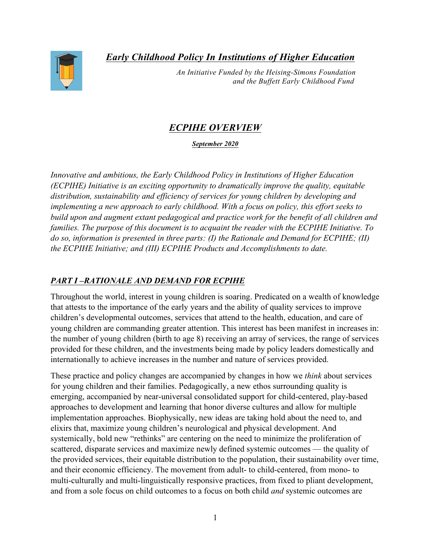*Early Childhood Policy In Institutions of Higher Education*



 *An Initiative Funded by the Heising-Simons Foundation and the Buffett Early Childhood Fund*

# *ECPIHE OVERVIEW*

*September 2020*

*Innovative and ambitious, the Early Childhood Policy in Institutions of Higher Education (ECPIHE) Initiative is an exciting opportunity to dramatically improve the quality, equitable distribution, sustainability and efficiency of services for young children by developing and implementing a new approach to early childhood. With a focus on policy, this effort seeks to build upon and augment extant pedagogical and practice work for the benefit of all children and families. The purpose of this document is to acquaint the reader with the ECPIHE Initiative. To do so, information is presented in three parts: (I) the Rationale and Demand for ECPIHE; (II) the ECPIHE Initiative; and (III) ECPIHE Products and Accomplishments to date.* 

## *PART I –RATIONALE AND DEMAND FOR ECPIHE*

Throughout the world, interest in young children is soaring. Predicated on a wealth of knowledge that attests to the importance of the early years and the ability of quality services to improve children's developmental outcomes, services that attend to the health, education, and care of young children are commanding greater attention. This interest has been manifest in increases in: the number of young children (birth to age 8) receiving an array of services, the range of services provided for these children, and the investments being made by policy leaders domestically and internationally to achieve increases in the number and nature of services provided.

These practice and policy changes are accompanied by changes in how we *think* about services for young children and their families. Pedagogically, a new ethos surrounding quality is emerging, accompanied by near-universal consolidated support for child-centered, play-based approaches to development and learning that honor diverse cultures and allow for multiple implementation approaches. Biophysically, new ideas are taking hold about the need to, and elixirs that, maximize young children's neurological and physical development. And systemically, bold new "rethinks" are centering on the need to minimize the proliferation of scattered, disparate services and maximize newly defined systemic outcomes — the quality of the provided services, their equitable distribution to the population, their sustainability over time, and their economic efficiency. The movement from adult- to child-centered, from mono- to multi-culturally and multi-linguistically responsive practices, from fixed to pliant development, and from a sole focus on child outcomes to a focus on both child *and* systemic outcomes are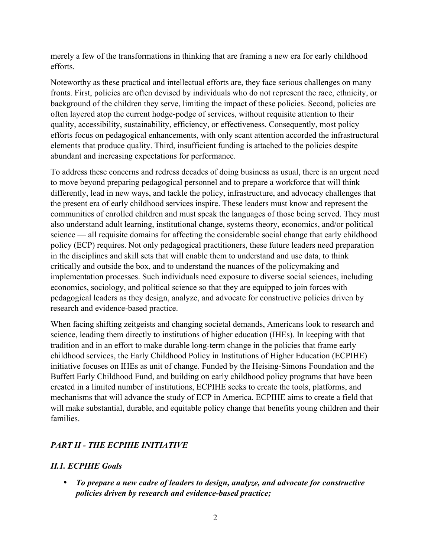merely a few of the transformations in thinking that are framing a new era for early childhood efforts.

Noteworthy as these practical and intellectual efforts are, they face serious challenges on many fronts. First, policies are often devised by individuals who do not represent the race, ethnicity, or background of the children they serve, limiting the impact of these policies. Second, policies are often layered atop the current hodge-podge of services, without requisite attention to their quality, accessibility, sustainability, efficiency, or effectiveness. Consequently, most policy efforts focus on pedagogical enhancements, with only scant attention accorded the infrastructural elements that produce quality. Third, insufficient funding is attached to the policies despite abundant and increasing expectations for performance.

To address these concerns and redress decades of doing business as usual, there is an urgent need to move beyond preparing pedagogical personnel and to prepare a workforce that will think differently, lead in new ways, and tackle the policy, infrastructure, and advocacy challenges that the present era of early childhood services inspire. These leaders must know and represent the communities of enrolled children and must speak the languages of those being served. They must also understand adult learning, institutional change, systems theory, economics, and/or political science — all requisite domains for affecting the considerable social change that early childhood policy (ECP) requires. Not only pedagogical practitioners, these future leaders need preparation in the disciplines and skill sets that will enable them to understand and use data, to think critically and outside the box, and to understand the nuances of the policymaking and implementation processes. Such individuals need exposure to diverse social sciences, including economics, sociology, and political science so that they are equipped to join forces with pedagogical leaders as they design, analyze, and advocate for constructive policies driven by research and evidence-based practice.

When facing shifting zeitgeists and changing societal demands, Americans look to research and science, leading them directly to institutions of higher education (IHEs). In keeping with that tradition and in an effort to make durable long-term change in the policies that frame early childhood services, the Early Childhood Policy in Institutions of Higher Education (ECPIHE) initiative focuses on IHEs as unit of change. Funded by the Heising-Simons Foundation and the Buffett Early Childhood Fund, and building on early childhood policy programs that have been created in a limited number of institutions, ECPIHE seeks to create the tools, platforms, and mechanisms that will advance the study of ECP in America. ECPIHE aims to create a field that will make substantial, durable, and equitable policy change that benefits young children and their families.

## *PART II - THE ECPIHE INITIATIVE*

## *II.1. ECPIHE Goals*

• *To prepare a new cadre of leaders to design, analyze, and advocate for constructive policies driven by research and evidence-based practice;*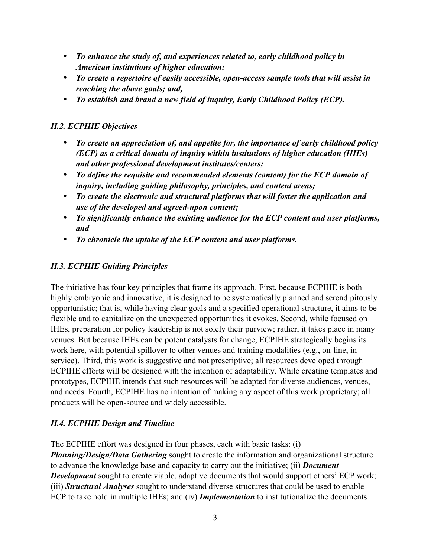- *To enhance the study of, and experiences related to, early childhood policy in American institutions of higher education;*
- *To create a repertoire of easily accessible, open-access sample tools that will assist in reaching the above goals; and,*
- *To establish and brand a new field of inquiry, Early Childhood Policy (ECP).*

## *II.2. ECPIHE Objectives*

- *To create an appreciation of, and appetite for, the importance of early childhood policy (ECP) as a critical domain of inquiry within institutions of higher education (IHEs) and other professional development institutes/centers;*
- *To define the requisite and recommended elements (content) for the ECP domain of inquiry, including guiding philosophy, principles, and content areas;*
- *To create the electronic and structural platforms that will foster the application and use of the developed and agreed-upon content;*
- *To significantly enhance the existing audience for the ECP content and user platforms, and*
- *To chronicle the uptake of the ECP content and user platforms.*

## *II.3. ECPIHE Guiding Principles*

The initiative has four key principles that frame its approach. First, because ECPIHE is both highly embryonic and innovative, it is designed to be systematically planned and serendipitously opportunistic; that is, while having clear goals and a specified operational structure, it aims to be flexible and to capitalize on the unexpected opportunities it evokes. Second, while focused on IHEs, preparation for policy leadership is not solely their purview; rather, it takes place in many venues. But because IHEs can be potent catalysts for change, ECPIHE strategically begins its work here, with potential spillover to other venues and training modalities (e.g., on-line, inservice). Third, this work is suggestive and not prescriptive; all resources developed through ECPIHE efforts will be designed with the intention of adaptability. While creating templates and prototypes, ECPIHE intends that such resources will be adapted for diverse audiences, venues, and needs. Fourth, ECPIHE has no intention of making any aspect of this work proprietary; all products will be open-source and widely accessible.

## *II.4. ECPIHE Design and Timeline*

The ECPIHE effort was designed in four phases, each with basic tasks: (i) *Planning/Design/Data Gathering* sought to create the information and organizational structure to advance the knowledge base and capacity to carry out the initiative; (ii) *Document Development* sought to create viable, adaptive documents that would support others' ECP work; (iii) *Structural Analyses* sought to understand diverse structures that could be used to enable ECP to take hold in multiple IHEs; and (iv) *Implementation* to institutionalize the documents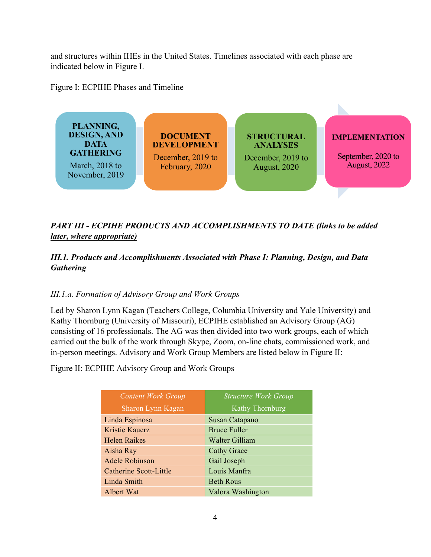and structures within IHEs in the United States. Timelines associated with each phase are indicated below in Figure I.

Figure I: ECPIHE Phases and Timeline



# *PART III - ECPIHE PRODUCTS AND ACCOMPLISHMENTS TO DATE (links to be added later, where appropriate)*

## *III.1. Products and Accomplishments Associated with Phase I: Planning, Design, and Data Gathering*

## *III.1.a. Formation of Advisory Group and Work Groups*

Led by Sharon Lynn Kagan (Teachers College, Columbia University and Yale University) and Kathy Thornburg (University of Missouri), ECPIHE established an Advisory Group (AG) consisting of 16 professionals. The AG was then divided into two work groups, each of which carried out the bulk of the work through Skype, Zoom, on-line chats, commissioned work, and in-person meetings. Advisory and Work Group Members are listed below in Figure II:

Figure II: ECPIHE Advisory Group and Work Groups

| <b>Content Work Group</b> | <b>Structure Work Group</b> |
|---------------------------|-----------------------------|
| Sharon Lynn Kagan         | Kathy Thornburg             |
| Linda Espinosa            | Susan Catapano              |
| <b>Kristie Kauerz</b>     | <b>Bruce Fuller</b>         |
| <b>Helen Raikes</b>       | Walter Gilliam              |
| Aisha Ray                 | <b>Cathy Grace</b>          |
| <b>Adele Robinson</b>     | Gail Joseph                 |
| Catherine Scott-Little    | Louis Manfra                |
| Linda Smith               | <b>Beth Rous</b>            |
| Albert Wat                | Valora Washington           |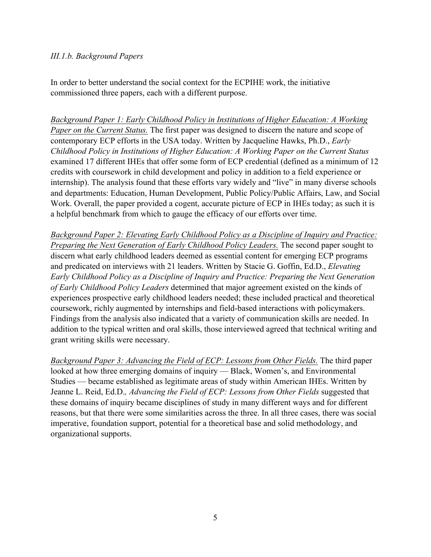#### *III.1.b. Background Papers*

In order to better understand the social context for the ECPIHE work, the initiative commissioned three papers, each with a different purpose.

*Background Paper 1: Early Childhood Policy in Institutions of Higher Education: A Working Paper on the Current Status.* The first paper was designed to discern the nature and scope of contemporary ECP efforts in the USA today. Written by Jacqueline Hawks, Ph.D., *Early Childhood Policy in Institutions of Higher Education: A Working Paper on the Current Status*  examined 17 different IHEs that offer some form of ECP credential (defined as a minimum of 12 credits with coursework in child development and policy in addition to a field experience or internship). The analysis found that these efforts vary widely and "live" in many diverse schools and departments: Education, Human Development, Public Policy/Public Affairs, Law, and Social Work. Overall, the paper provided a cogent, accurate picture of ECP in IHEs today; as such it is a helpful benchmark from which to gauge the efficacy of our efforts over time.

*Background Paper 2: Elevating Early Childhood Policy as a Discipline of Inquiry and Practice: Preparing the Next Generation of Early Childhood Policy Leaders.* The second paper sought to discern what early childhood leaders deemed as essential content for emerging ECP programs and predicated on interviews with 21 leaders. Written by Stacie G. Goffin, Ed.D., *Elevating Early Childhood Policy as a Discipline of Inquiry and Practice: Preparing the Next Generation of Early Childhood Policy Leaders* determined that major agreement existed on the kinds of experiences prospective early childhood leaders needed; these included practical and theoretical coursework, richly augmented by internships and field-based interactions with policymakers. Findings from the analysis also indicated that a variety of communication skills are needed. In addition to the typical written and oral skills, those interviewed agreed that technical writing and grant writing skills were necessary.

*Background Paper 3: Advancing the Field of ECP: Lessons from Other Fields.* The third paper looked at how three emerging domains of inquiry — Black, Women's, and Environmental Studies — became established as legitimate areas of study within American IHEs. Written by Jeanne L. Reid, Ed.D.*, Advancing the Field of ECP: Lessons from Other Fields* suggested that these domains of inquiry became disciplines of study in many different ways and for different reasons, but that there were some similarities across the three. In all three cases, there was social imperative, foundation support, potential for a theoretical base and solid methodology, and organizational supports.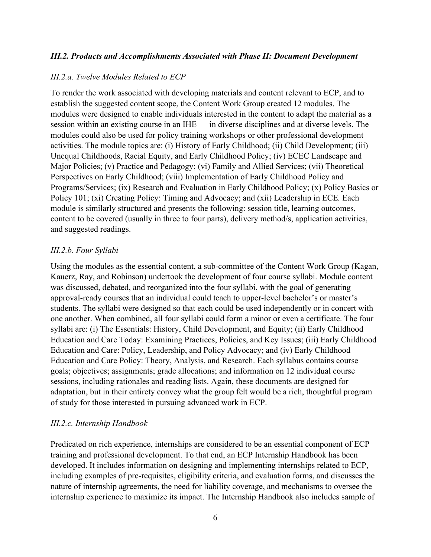#### *III.2. Products and Accomplishments Associated with Phase II: Document Development*

#### *III.2.a. Twelve Modules Related to ECP*

To render the work associated with developing materials and content relevant to ECP, and to establish the suggested content scope, the Content Work Group created 12 modules. The modules were designed to enable individuals interested in the content to adapt the material as a session within an existing course in an IHE — in diverse disciplines and at diverse levels. The modules could also be used for policy training workshops or other professional development activities. The module topics are: (i) History of Early Childhood; (ii) Child Development; (iii) Unequal Childhoods, Racial Equity, and Early Childhood Policy; (iv) ECEC Landscape and Major Policies; (v) Practice and Pedagogy; (vi) Family and Allied Services; (vii) Theoretical Perspectives on Early Childhood; (viii) Implementation of Early Childhood Policy and Programs/Services; (ix) Research and Evaluation in Early Childhood Policy; (x) Policy Basics or Policy 101; (xi) Creating Policy: Timing and Advocacy; and (xii) Leadership in ECE*.* Each module is similarly structured and presents the following: session title, learning outcomes, content to be covered (usually in three to four parts), delivery method/s, application activities, and suggested readings.

#### *III.2.b. Four Syllabi*

Using the modules as the essential content, a sub-committee of the Content Work Group (Kagan, Kauerz, Ray, and Robinson) undertook the development of four course syllabi. Module content was discussed, debated, and reorganized into the four syllabi, with the goal of generating approval-ready courses that an individual could teach to upper-level bachelor's or master's students. The syllabi were designed so that each could be used independently or in concert with one another. When combined, all four syllabi could form a minor or even a certificate. The four syllabi are: (i) The Essentials: History, Child Development, and Equity; (ii) Early Childhood Education and Care Today: Examining Practices, Policies, and Key Issues; (iii) Early Childhood Education and Care: Policy, Leadership, and Policy Advocacy; and (iv) Early Childhood Education and Care Policy: Theory, Analysis, and Research. Each syllabus contains course goals; objectives; assignments; grade allocations; and information on 12 individual course sessions, including rationales and reading lists. Again, these documents are designed for adaptation, but in their entirety convey what the group felt would be a rich, thoughtful program of study for those interested in pursuing advanced work in ECP.

#### *III.2.c. Internship Handbook*

Predicated on rich experience, internships are considered to be an essential component of ECP training and professional development. To that end, an ECP Internship Handbook has been developed. It includes information on designing and implementing internships related to ECP, including examples of pre-requisites, eligibility criteria, and evaluation forms, and discusses the nature of internship agreements, the need for liability coverage, and mechanisms to oversee the internship experience to maximize its impact. The Internship Handbook also includes sample of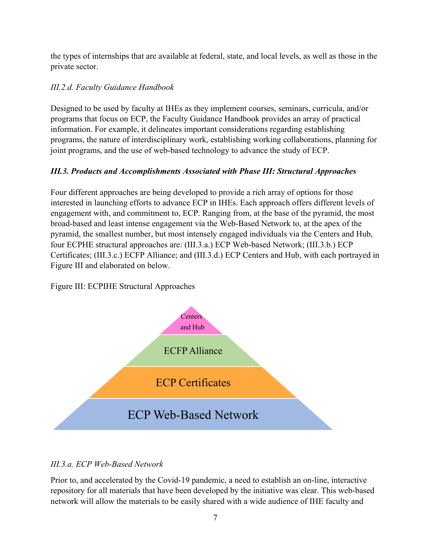the types of internships that are available at federal, state, and local levels, as well as those in the private sector.

## *III.2.d. Faculty Guidance Handbook*

Designed to be used by faculty at IHEs as they implement courses, seminars, curricula, and/or programs that focus on ECP, the Faculty Guidance Handbook provides an array of practical information. For example, it delineates important considerations regarding establishing programs, the nature of interdisciplinary work, establishing working collaborations, planning for joint programs, and the use of web-based technology to advance the study of ECP.

## *III.3. Products and Accomplishments Associated with Phase III: Structural Approaches*

Four different approaches are being developed to provide a rich array of options for those interested in launching efforts to advance ECP in IHEs. Each approach offers different levels of engagement with, and commitment to, ECP. Ranging from, at the base of the pyramid, the most broad-based and least intense engagement via the Web-Based Network to, at the apex of the pyramid, the smallest number, but most intensely engaged individuals via the Centers and Hub, four ECPHE structural approaches are: (III.3.a.) ECP Web-based Network; (III.3.b.) ECP Certificates; (III.3.c.) ECFP Alliance; and (III.3.d.) ECP Centers and Hub, with each portrayed in Figure III and elaborated on below.

Figure III: ECPIHE Structural Approaches



## *III.3.a. ECP Web-Based Network*

Prior to, and accelerated by the Covid-19 pandemic, a need to establish an on-line, interactive repository for all materials that have been developed by the initiative was clear. This web-based network will allow the materials to be easily shared with a wide audience of IHE faculty and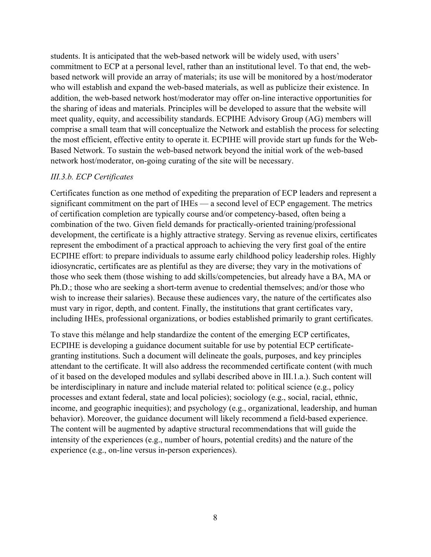students. It is anticipated that the web-based network will be widely used, with users' commitment to ECP at a personal level, rather than an institutional level. To that end, the webbased network will provide an array of materials; its use will be monitored by a host/moderator who will establish and expand the web-based materials, as well as publicize their existence. In addition, the web-based network host/moderator may offer on-line interactive opportunities for the sharing of ideas and materials. Principles will be developed to assure that the website will meet quality, equity, and accessibility standards. ECPIHE Advisory Group (AG) members will comprise a small team that will conceptualize the Network and establish the process for selecting the most efficient, effective entity to operate it. ECPIHE will provide start up funds for the Web-Based Network. To sustain the web-based network beyond the initial work of the web-based network host/moderator, on-going curating of the site will be necessary.

#### *III.3.b. ECP Certificates*

Certificates function as one method of expediting the preparation of ECP leaders and represent a significant commitment on the part of IHEs — a second level of ECP engagement. The metrics of certification completion are typically course and/or competency-based, often being a combination of the two. Given field demands for practically-oriented training/professional development, the certificate is a highly attractive strategy. Serving as revenue elixirs, certificates represent the embodiment of a practical approach to achieving the very first goal of the entire ECPIHE effort: to prepare individuals to assume early childhood policy leadership roles. Highly idiosyncratic, certificates are as plentiful as they are diverse; they vary in the motivations of those who seek them (those wishing to add skills/competencies, but already have a BA, MA or Ph.D.; those who are seeking a short-term avenue to credential themselves; and/or those who wish to increase their salaries). Because these audiences vary, the nature of the certificates also must vary in rigor, depth, and content. Finally, the institutions that grant certificates vary, including IHEs, professional organizations, or bodies established primarily to grant certificates.

To stave this mélange and help standardize the content of the emerging ECP certificates, ECPIHE is developing a guidance document suitable for use by potential ECP certificategranting institutions. Such a document will delineate the goals, purposes, and key principles attendant to the certificate. It will also address the recommended certificate content (with much of it based on the developed modules and syllabi described above in III.1.a.). Such content will be interdisciplinary in nature and include material related to: political science (e.g., policy processes and extant federal, state and local policies); sociology (e.g., social, racial, ethnic, income, and geographic inequities); and psychology (e.g., organizational, leadership, and human behavior). Moreover, the guidance document will likely recommend a field-based experience. The content will be augmented by adaptive structural recommendations that will guide the intensity of the experiences (e.g., number of hours, potential credits) and the nature of the experience (e.g., on-line versus in-person experiences).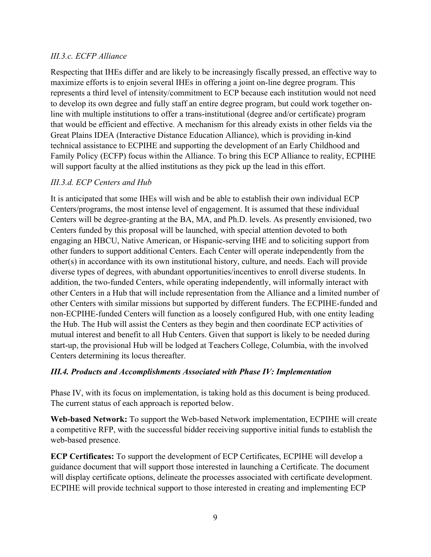### *III.3.c. ECFP Alliance*

Respecting that IHEs differ and are likely to be increasingly fiscally pressed, an effective way to maximize efforts is to enjoin several IHEs in offering a joint on-line degree program. This represents a third level of intensity/commitment to ECP because each institution would not need to develop its own degree and fully staff an entire degree program, but could work together online with multiple institutions to offer a trans-institutional (degree and/or certificate) program that would be efficient and effective. A mechanism for this already exists in other fields via the Great Plains IDEA (Interactive Distance Education Alliance), which is providing in-kind technical assistance to ECPIHE and supporting the development of an Early Childhood and Family Policy (ECFP) focus within the Alliance. To bring this ECP Alliance to reality, ECPIHE will support faculty at the allied institutions as they pick up the lead in this effort.

### *III.3.d. ECP Centers and Hub*

It is anticipated that some IHEs will wish and be able to establish their own individual ECP Centers/programs, the most intense level of engagement. It is assumed that these individual Centers will be degree-granting at the BA, MA, and Ph.D. levels. As presently envisioned, two Centers funded by this proposal will be launched, with special attention devoted to both engaging an HBCU, Native American, or Hispanic-serving IHE and to soliciting support from other funders to support additional Centers. Each Center will operate independently from the other(s) in accordance with its own institutional history, culture, and needs. Each will provide diverse types of degrees, with abundant opportunities/incentives to enroll diverse students. In addition, the two-funded Centers, while operating independently, will informally interact with other Centers in a Hub that will include representation from the Alliance and a limited number of other Centers with similar missions but supported by different funders. The ECPIHE-funded and non-ECPIHE-funded Centers will function as a loosely configured Hub, with one entity leading the Hub. The Hub will assist the Centers as they begin and then coordinate ECP activities of mutual interest and benefit to all Hub Centers. Given that support is likely to be needed during start-up, the provisional Hub will be lodged at Teachers College, Columbia, with the involved Centers determining its locus thereafter.

#### *III.4. Products and Accomplishments Associated with Phase IV: Implementation*

Phase IV, with its focus on implementation, is taking hold as this document is being produced. The current status of each approach is reported below.

**Web-based Network:** To support the Web-based Network implementation, ECPIHE will create a competitive RFP, with the successful bidder receiving supportive initial funds to establish the web-based presence.

**ECP Certificates:** To support the development of ECP Certificates, ECPIHE will develop a guidance document that will support those interested in launching a Certificate. The document will display certificate options, delineate the processes associated with certificate development. ECPIHE will provide technical support to those interested in creating and implementing ECP